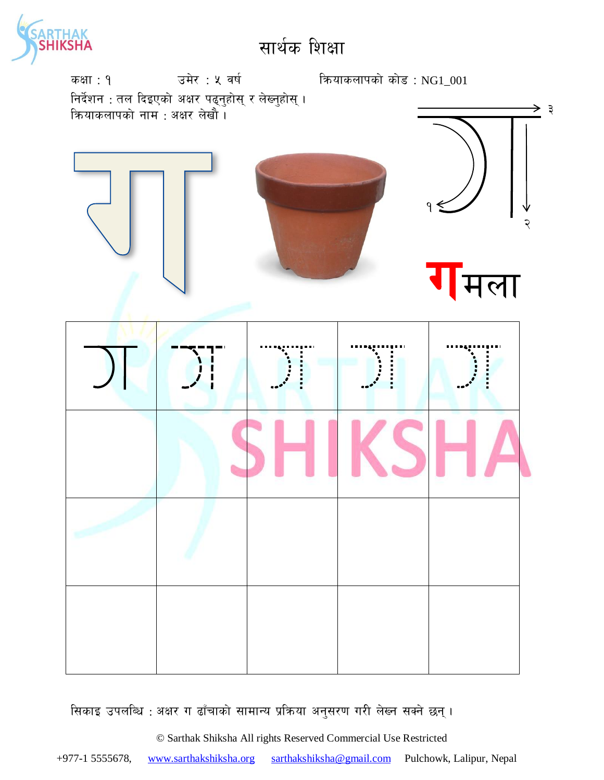



सिकाइ उपलब्धि : अक्षर ग ढाँचाको सामान्य प्रक्रिया अनुसरण गरी लेख्न सक्ने छन्।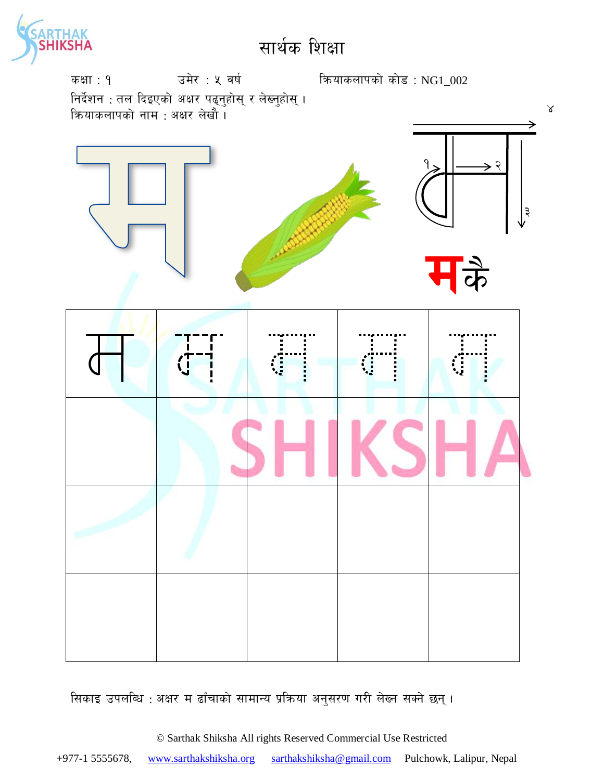



सिकाइ उपलब्धि : अक्षर म ढाँचाको सामान्य प्रक्रिया अनुसरण गरी लेख्न सक्ने छन्।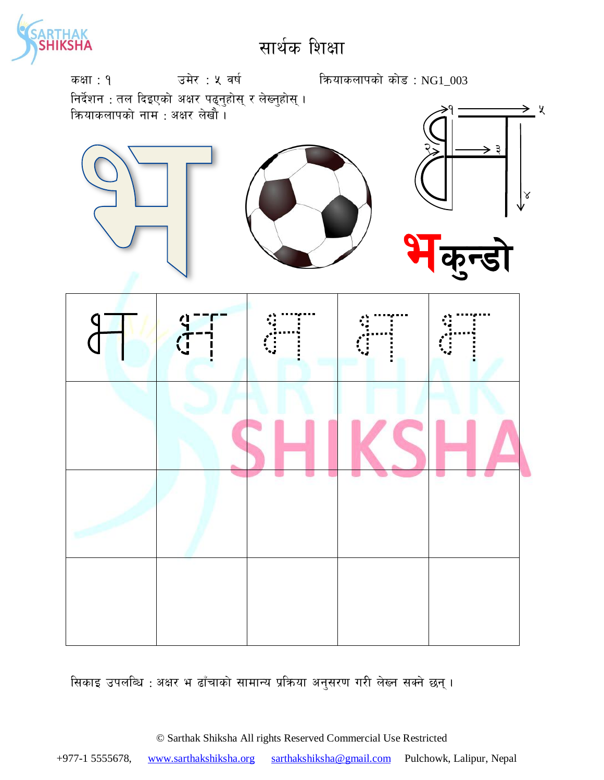



सिकाइ उपलब्धि : अक्षर भ ढाँचाको सामान्य प्रक्रिया अनुसरण गरी लेख्न सक्ने छन्।